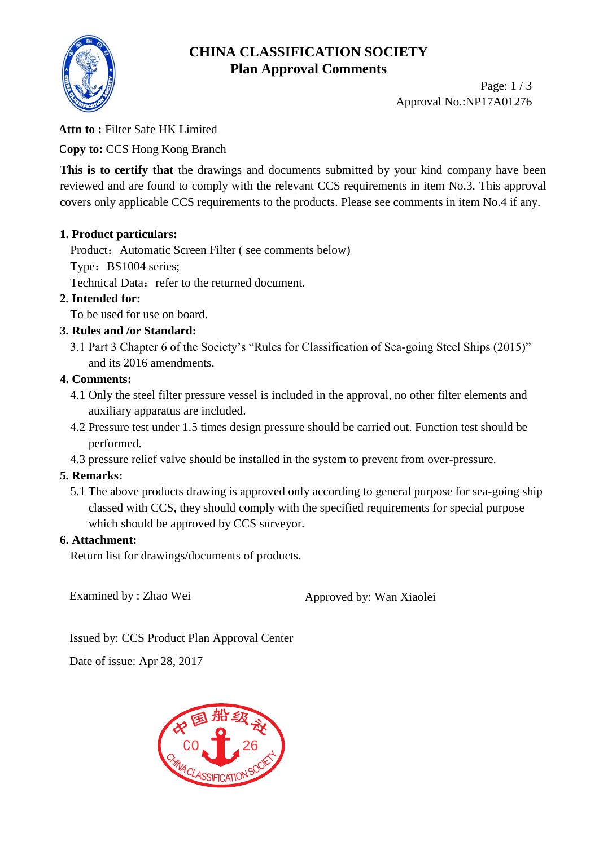# **CHINA CLASSIFICATION SOCIETY Plan Approval Comments**



Page: 1 / 3 Approval No.:NP17A01276

## **Attn to :** Filter Safe HK Limited

**Copy to:** CCS Hong Kong Branch

This is to certify that the drawings and documents submitted by your kind company have been reviewed and are found to comply with the relevant CCS requirements in item No.3. This approval covers only applicable CCS requirements to the products. Please see comments in item No.4 if any.

## **1. Product particulars:**

Product: Automatic Screen Filter (see comments below)

Type: BS1004 series;

Technical Data: refer to the returned document.

# **2. Intended for:**

To be used for use on board.

# **3. Rules and /or Standard:**

3.1 Part 3 Chapter 6 of the Society's "Rules for Classification of Sea-going Steel Ships (2015)" and its 2016 amendments.

# **4. Comments:**

- 4.1 Only the steel filter pressure vessel is included in the approval, no other filter elements and auxiliary apparatus are included.
- 4.2 Pressure test under 1.5 times design pressure should be carried out. Function test should be performed.
- 4.3 pressure relief valve should be installed in the system to prevent from over-pressure.

# **5. Remarks:**

5.1 The above products drawing is approved only according to general purpose for sea-going ship classed with CCS, they should comply with the specified requirements for special purpose which should be approved by CCS surveyor.

## **6. Attachment:**

Return list for drawings/documents of products.

Examined by : Zhao Wei Approved by: Wan Xiaolei

Issued by: CCS Product Plan Approval Center

Date of issue: Apr 28, 2017

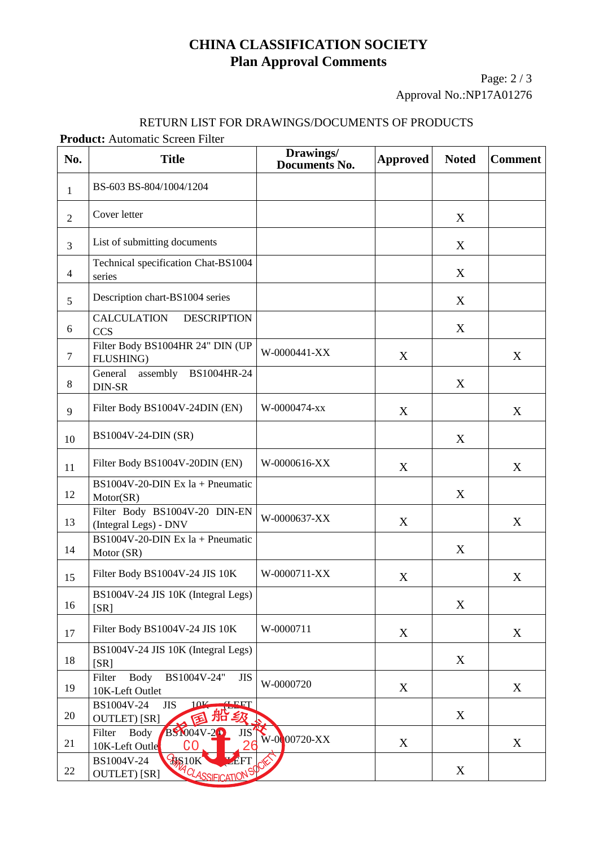# **CHINA CLASSIFICATION SOCIETY Plan Approval Comments**

Page: 2 / 3 Approval No.:NP17A01276

#### RETURN LIST FOR DRAWINGS/DOCUMENTS OF PRODUCTS

**Product:** Automatic Screen Filter

| No.                      | <b>Title</b>                                                                         | Drawings/<br><b>Documents No.</b> | <b>Approved</b> | <b>Noted</b> | <b>Comment</b> |
|--------------------------|--------------------------------------------------------------------------------------|-----------------------------------|-----------------|--------------|----------------|
| $\mathbf{1}$             | BS-603 BS-804/1004/1204                                                              |                                   |                 |              |                |
| $\overline{2}$           | Cover letter                                                                         |                                   |                 | X            |                |
| $\overline{3}$           | List of submitting documents                                                         |                                   |                 | X            |                |
| $\overline{\mathcal{L}}$ | Technical specification Chat-BS1004<br>series                                        |                                   |                 | X            |                |
| 5                        | Description chart-BS1004 series                                                      |                                   |                 | X            |                |
| 6                        | <b>CALCULATION</b><br><b>DESCRIPTION</b><br><b>CCS</b>                               |                                   |                 | X            |                |
| $\tau$                   | Filter Body BS1004HR 24" DIN (UP<br>FLUSHING)                                        | W-0000441-XX                      | X               |              | X              |
| 8                        | General<br>assembly BS1004HR-24<br>DIN-SR                                            |                                   |                 | X            |                |
| 9                        | Filter Body BS1004V-24DIN (EN)                                                       | W-0000474-xx                      | X               |              | X              |
| 10                       | BS1004V-24-DIN (SR)                                                                  |                                   |                 | X            |                |
| 11                       | Filter Body BS1004V-20DIN (EN)                                                       | W-0000616-XX                      | X               |              | X              |
| 12                       | BS1004V-20-DIN Ex $1a + P$ neumatic<br>Motor(SR)                                     |                                   |                 | X            |                |
| 13                       | Filter Body BS1004V-20 DIN-EN<br>(Integral Legs) - DNV                               | W-0000637-XX                      | X               |              | X              |
| 14                       | BS1004V-20-DIN Ex $1a + P$ neumatic<br>Motor (SR)                                    |                                   |                 | X            |                |
| 15                       | Filter Body BS1004V-24 JIS 10K                                                       | W-0000711-XX                      | X               |              | X              |
| 16                       | BS1004V-24 JIS 10K (Integral Legs)<br>[SR]                                           |                                   |                 | $\mathbf X$  |                |
| 17                       | Filter Body BS1004V-24 JIS 10K                                                       | W-0000711                         | X               |              | X              |
| 18                       | BS1004V-24 JIS 10K (Integral Legs)<br>[SR]                                           |                                   |                 | X            |                |
| 19                       | Filter<br><b>Body</b><br>BS1004V-24"<br><b>JIS</b><br>10K-Left Outlet                | W-0000720                         | X               |              | X              |
| 20                       | 10V<br>BS1004V-24<br>SNET<br><b>JIS</b><br><b>州ǐ 乡好</b><br><b>OUTLET</b> ) [SR]<br>匥 |                                   |                 | X            |                |
| 21                       | <b>BS1004V-20</b><br>Filter<br><b>Body</b><br><b>JIS</b><br>10K-Left Outle<br>CO     | W-0000720-XX                      | X               |              | X              |
| 22                       | <b>RISTOK</b> CLASSIFICATION<br>BS1004V-24<br><b>OUTLET</b> ) [SR]                   |                                   |                 | X            |                |